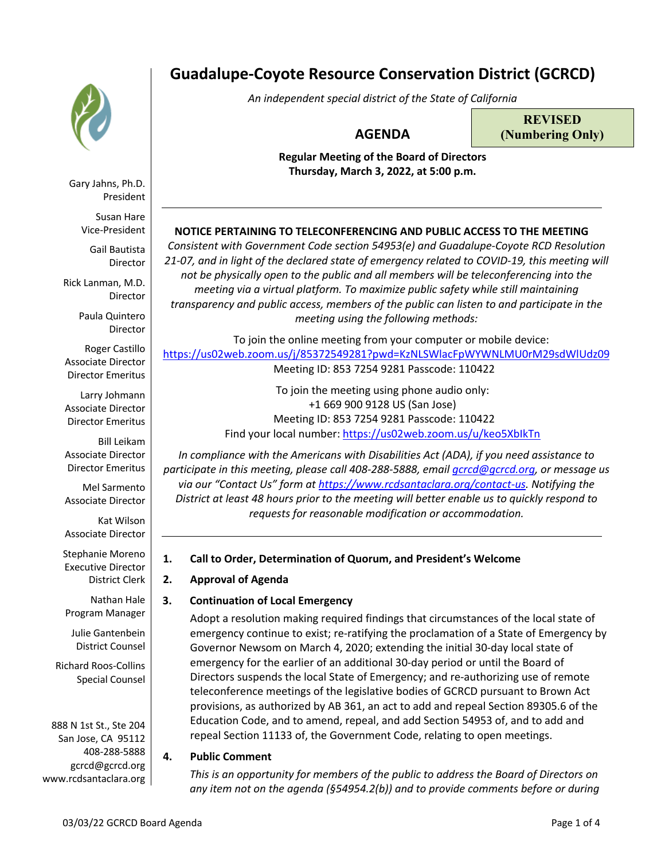

Gary Jahns, Ph.D. President

Susan Hare Vice-President

Gail Bautista Director

Rick Lanman, M.D. Director

> Paula Quintero Director

Roger Castillo Associate Director Director Emeritus

Larry Johmann Associate Director Director Emeritus

Bill Leikam Associate Director Director Emeritus

Mel Sarmento Associate Director

Kat Wilson Associate Director

Stephanie Moreno Executive Director District Clerk

Nathan Hale Program Manager

Julie Gantenbein District Counsel

Richard Roos-Collins Special Counsel

888 N 1st St., Ste 204 San Jose, CA 95112 408-288-5888 gcrcd@gcrcd.org www.rcdsantaclara.org

# **Guadalupe-Coyote Resource Conservation District (GCRCD)**

*An independent special district of the State of California*

## **AGENDA**

**REVISED (Numbering Only)**

**Regular Meeting of the Board of Directors Thursday, March 3, 2022, at 5:00 p.m.**

## **NOTICE PERTAINING TO TELECONFERENCING AND PUBLIC ACCESS TO THE MEETING**

*Consistent with Government Code section 54953(e) and Guadalupe-Coyote RCD Resolution 21-07, and in light of the declared state of emergency related to COVID-19, this meeting will not be physically open to the public and all members will be teleconferencing into the meeting via a virtual platform. To maximize public safety while still maintaining transparency and public access, members of the public can listen to and participate in the meeting using the following methods:* 

To join the online meeting from your computer or mobile device: https://us02web.zoom.us/j/85372549281?pwd=KzNLSWlacFpWYWNLMU0rM29sdWlUdz09 Meeting ID: 853 7254 9281 Passcode: 110422

> To join the meeting using phone audio only: +1 669 900 9128 US (San Jose) Meeting ID: 853 7254 9281 Passcode: 110422 Find your local number: https://us02web.zoom.us/u/keo5XbIkTn

*In compliance with the Americans with Disabilities Act (ADA), if you need assistance to participate in this meeting, please call 408-288-5888, email gcrcd@gcrcd.org, or message us via our "Contact Us" form at https://www.rcdsantaclara.org/contact-us. Notifying the District at least 48 hours prior to the meeting will better enable us to quickly respond to requests for reasonable modification or accommodation.*

## **1. Call to Order, Determination of Quorum, and President's Welcome**

## **2. Approval of Agenda**

## **3. Continuation of Local Emergency**

Adopt a resolution making required findings that circumstances of the local state of emergency continue to exist; re-ratifying the proclamation of a State of Emergency by Governor Newsom on March 4, 2020; extending the initial 30-day local state of emergency for the earlier of an additional 30-day period or until the Board of Directors suspends the local State of Emergency; and re-authorizing use of remote teleconference meetings of the legislative bodies of GCRCD pursuant to Brown Act provisions, as authorized by AB 361, an act to add and repeal Section 89305.6 of the Education Code, and to amend, repeal, and add Section 54953 of, and to add and repeal Section 11133 of, the Government Code, relating to open meetings.

## **4. Public Comment**

*This is an opportunity for members of the public to address the Board of Directors on any item not on the agenda (§54954.2(b)) and to provide comments before or during*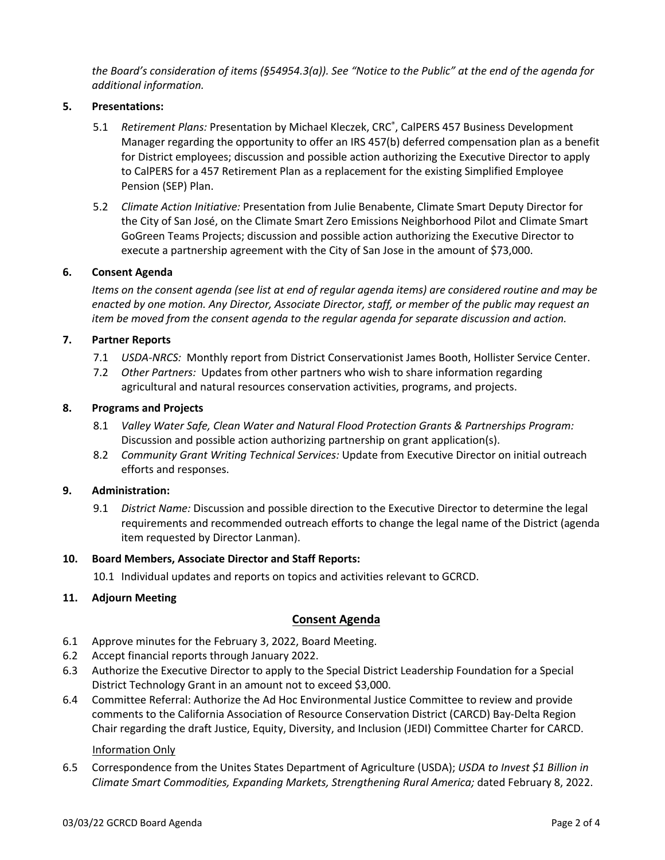*the Board's consideration of items (§54954.3(a)). See "Notice to the Public" at the end of the agenda for additional information.*

#### **5. Presentations:**

- 5.1 *Retirement Plans:* Presentation by Michael Kleczek, CRC® , CalPERS 457 Business Development Manager regarding the opportunity to offer an IRS 457(b) deferred compensation plan as a benefit for District employees; discussion and possible action authorizing the Executive Director to apply to CalPERS for a 457 Retirement Plan as a replacement for the existing Simplified Employee Pension (SEP) Plan.
- 5.2 *Climate Action Initiative:* Presentation from Julie Benabente, Climate Smart Deputy Director for the City of San José, on the Climate Smart Zero Emissions Neighborhood Pilot and Climate Smart GoGreen Teams Projects; discussion and possible action authorizing the Executive Director to execute a partnership agreement with the City of San Jose in the amount of \$73,000.

#### **6. Consent Agenda**

*Items on the consent agenda (see list at end of regular agenda items) are considered routine and may be enacted by one motion. Any Director, Associate Director, staff, or member of the public may request an item be moved from the consent agenda to the regular agenda for separate discussion and action.*

## **7. Partner Reports**

- 7.1 *USDA-NRCS:* Monthly report from District Conservationist James Booth, Hollister Service Center.
- 7.2 *Other Partners:* Updates from other partners who wish to share information regarding agricultural and natural resources conservation activities, programs, and projects.

#### **8. Programs and Projects**

- 8.1 *Valley Water Safe, Clean Water and Natural Flood Protection Grants & Partnerships Program:*  Discussion and possible action authorizing partnership on grant application(s).
- 8.2 *Community Grant Writing Technical Services:* Update from Executive Director on initial outreach efforts and responses.

#### **9. Administration:**

9.1 *District Name:* Discussion and possible direction to the Executive Director to determine the legal requirements and recommended outreach efforts to change the legal name of the District (agenda item requested by Director Lanman).

#### **10. Board Members, Associate Director and Staff Reports:**

10.1 Individual updates and reports on topics and activities relevant to GCRCD.

## **11. Adjourn Meeting**

## **Consent Agenda**

- 6.1 Approve minutes for the February 3, 2022, Board Meeting.
- 6.2 Accept financial reports through January 2022.
- 6.3 Authorize the Executive Director to apply to the Special District Leadership Foundation for a Special District Technology Grant in an amount not to exceed \$3,000.
- 6.4 Committee Referral: Authorize the Ad Hoc Environmental Justice Committee to review and provide comments to the California Association of Resource Conservation District (CARCD) Bay-Delta Region Chair regarding the draft Justice, Equity, Diversity, and Inclusion (JEDI) Committee Charter for CARCD.

#### Information Only

6.5 Correspondence from the Unites States Department of Agriculture (USDA); *USDA to Invest \$1 Billion in Climate Smart Commodities, Expanding Markets, Strengthening Rural America;* dated February 8, 2022.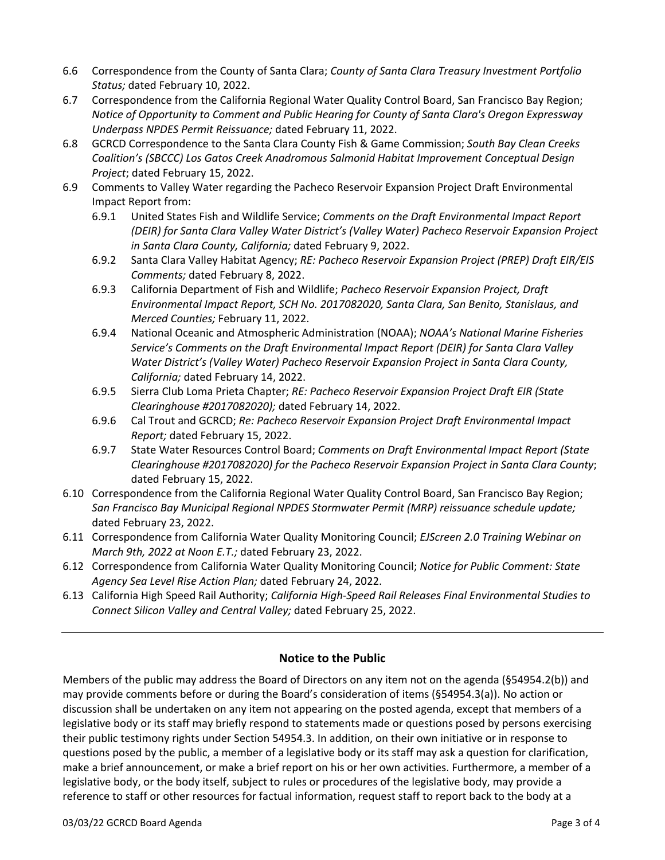- 6.6 Correspondence from the County of Santa Clara; *County of Santa Clara Treasury Investment Portfolio Status;* dated February 10, 2022.
- 6.7 Correspondence from the California Regional Water Quality Control Board, San Francisco Bay Region; *Notice of Opportunity to Comment and Public Hearing for County of Santa Clara's Oregon Expressway Underpass NPDES Permit Reissuance;* dated February 11, 2022.
- 6.8 GCRCD Correspondence to the Santa Clara County Fish & Game Commission; *South Bay Clean Creeks Coalition's (SBCCC) Los Gatos Creek Anadromous Salmonid Habitat Improvement Conceptual Design Project*; dated February 15, 2022.
- 6.9 Comments to Valley Water regarding the Pacheco Reservoir Expansion Project Draft Environmental Impact Report from:
	- 6.9.1 United States Fish and Wildlife Service; *Comments on the Draft Environmental Impact Report (DEIR) for Santa Clara Valley Water District's (Valley Water) Pacheco Reservoir Expansion Project in Santa Clara County, California;* dated February 9, 2022.
	- 6.9.2 Santa Clara Valley Habitat Agency; *RE: Pacheco Reservoir Expansion Project (PREP) Draft EIR/EIS Comments;* dated February 8, 2022.
	- 6.9.3 California Department of Fish and Wildlife; *Pacheco Reservoir Expansion Project, Draft Environmental Impact Report, SCH No. 2017082020, Santa Clara, San Benito, Stanislaus, and Merced Counties;* February 11, 2022.
	- 6.9.4 National Oceanic and Atmospheric Administration (NOAA); *NOAA's National Marine Fisheries Service's Comments on the Draft Environmental Impact Report (DEIR) for Santa Clara Valley Water District's (Valley Water) Pacheco Reservoir Expansion Project in Santa Clara County, California;* dated February 14, 2022.
	- 6.9.5 Sierra Club Loma Prieta Chapter; *RE: Pacheco Reservoir Expansion Project Draft EIR (State Clearinghouse #2017082020);* dated February 14, 2022.
	- 6.9.6 Cal Trout and GCRCD; *Re: Pacheco Reservoir Expansion Project Draft Environmental Impact Report;* dated February 15, 2022.
	- 6.9.7 State Water Resources Control Board; *Comments on Draft Environmental Impact Report (State Clearinghouse #2017082020) for the Pacheco Reservoir Expansion Project in Santa Clara County*; dated February 15, 2022.
- 6.10 Correspondence from the California Regional Water Quality Control Board, San Francisco Bay Region; *San Francisco Bay Municipal Regional NPDES Stormwater Permit (MRP) reissuance schedule update;*  dated February 23, 2022.
- 6.11 Correspondence from California Water Quality Monitoring Council; *EJScreen 2.0 Training Webinar on March 9th, 2022 at Noon E.T.;* dated February 23, 2022.
- 6.12 Correspondence from California Water Quality Monitoring Council; *Notice for Public Comment: State Agency Sea Level Rise Action Plan;* dated February 24, 2022.
- 6.13 California High Speed Rail Authority; *California High-Speed Rail Releases Final Environmental Studies to Connect Silicon Valley and Central Valley;* dated February 25, 2022.

## **Notice to the Public**

Members of the public may address the Board of Directors on any item not on the agenda (§54954.2(b)) and may provide comments before or during the Board's consideration of items (§54954.3(a)). No action or discussion shall be undertaken on any item not appearing on the posted agenda, except that members of a legislative body or its staff may briefly respond to statements made or questions posed by persons exercising their public testimony rights under Section 54954.3. In addition, on their own initiative or in response to questions posed by the public, a member of a legislative body or its staff may ask a question for clarification, make a brief announcement, or make a brief report on his or her own activities. Furthermore, a member of a legislative body, or the body itself, subject to rules or procedures of the legislative body, may provide a reference to staff or other resources for factual information, request staff to report back to the body at a